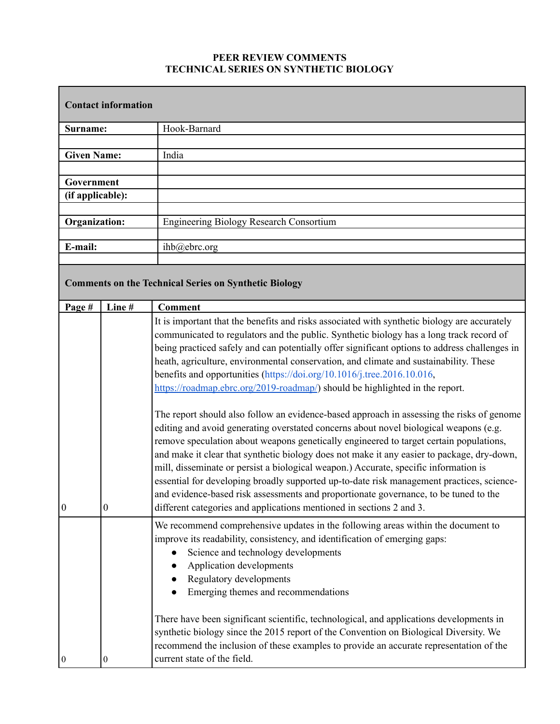## **PEER REVIEW COMMENTS TECHNICAL SERIES ON SYNTHETIC BIOLOGY**

| <b>Contact information</b>     |                                                              |                                                                                                                                                                                                                                                                                                                                                                                                                                                                                                                                                                                                                                                                                                                                                                                                                                                                                                                                                                                                                                                                                                                                                                                                                                                                                 |  |
|--------------------------------|--------------------------------------------------------------|---------------------------------------------------------------------------------------------------------------------------------------------------------------------------------------------------------------------------------------------------------------------------------------------------------------------------------------------------------------------------------------------------------------------------------------------------------------------------------------------------------------------------------------------------------------------------------------------------------------------------------------------------------------------------------------------------------------------------------------------------------------------------------------------------------------------------------------------------------------------------------------------------------------------------------------------------------------------------------------------------------------------------------------------------------------------------------------------------------------------------------------------------------------------------------------------------------------------------------------------------------------------------------|--|
| Surname:                       |                                                              | Hook-Barnard                                                                                                                                                                                                                                                                                                                                                                                                                                                                                                                                                                                                                                                                                                                                                                                                                                                                                                                                                                                                                                                                                                                                                                                                                                                                    |  |
|                                |                                                              |                                                                                                                                                                                                                                                                                                                                                                                                                                                                                                                                                                                                                                                                                                                                                                                                                                                                                                                                                                                                                                                                                                                                                                                                                                                                                 |  |
| <b>Given Name:</b>             |                                                              | India                                                                                                                                                                                                                                                                                                                                                                                                                                                                                                                                                                                                                                                                                                                                                                                                                                                                                                                                                                                                                                                                                                                                                                                                                                                                           |  |
|                                |                                                              |                                                                                                                                                                                                                                                                                                                                                                                                                                                                                                                                                                                                                                                                                                                                                                                                                                                                                                                                                                                                                                                                                                                                                                                                                                                                                 |  |
| Government<br>(if applicable): |                                                              |                                                                                                                                                                                                                                                                                                                                                                                                                                                                                                                                                                                                                                                                                                                                                                                                                                                                                                                                                                                                                                                                                                                                                                                                                                                                                 |  |
|                                |                                                              |                                                                                                                                                                                                                                                                                                                                                                                                                                                                                                                                                                                                                                                                                                                                                                                                                                                                                                                                                                                                                                                                                                                                                                                                                                                                                 |  |
| <b>Organization:</b>           |                                                              | <b>Engineering Biology Research Consortium</b>                                                                                                                                                                                                                                                                                                                                                                                                                                                                                                                                                                                                                                                                                                                                                                                                                                                                                                                                                                                                                                                                                                                                                                                                                                  |  |
|                                |                                                              |                                                                                                                                                                                                                                                                                                                                                                                                                                                                                                                                                                                                                                                                                                                                                                                                                                                                                                                                                                                                                                                                                                                                                                                                                                                                                 |  |
| E-mail:                        |                                                              | ihb@ebrc.org                                                                                                                                                                                                                                                                                                                                                                                                                                                                                                                                                                                                                                                                                                                                                                                                                                                                                                                                                                                                                                                                                                                                                                                                                                                                    |  |
|                                |                                                              |                                                                                                                                                                                                                                                                                                                                                                                                                                                                                                                                                                                                                                                                                                                                                                                                                                                                                                                                                                                                                                                                                                                                                                                                                                                                                 |  |
|                                | <b>Comments on the Technical Series on Synthetic Biology</b> |                                                                                                                                                                                                                                                                                                                                                                                                                                                                                                                                                                                                                                                                                                                                                                                                                                                                                                                                                                                                                                                                                                                                                                                                                                                                                 |  |
| Page #                         | Line#                                                        | <b>Comment</b>                                                                                                                                                                                                                                                                                                                                                                                                                                                                                                                                                                                                                                                                                                                                                                                                                                                                                                                                                                                                                                                                                                                                                                                                                                                                  |  |
| $\vert 0 \vert$                | $\boldsymbol{0}$                                             | It is important that the benefits and risks associated with synthetic biology are accurately<br>communicated to regulators and the public. Synthetic biology has a long track record of<br>being practiced safely and can potentially offer significant options to address challenges in<br>heath, agriculture, environmental conservation, and climate and sustainability. These<br>benefits and opportunities (https://doi.org/10.1016/j.tree.2016.10.016,<br>https://roadmap.ebrc.org/2019-roadmap/) should be highlighted in the report.<br>The report should also follow an evidence-based approach in assessing the risks of genome<br>editing and avoid generating overstated concerns about novel biological weapons (e.g.<br>remove speculation about weapons genetically engineered to target certain populations,<br>and make it clear that synthetic biology does not make it any easier to package, dry-down,<br>mill, disseminate or persist a biological weapon.) Accurate, specific information is<br>essential for developing broadly supported up-to-date risk management practices, science-<br>and evidence-based risk assessments and proportionate governance, to be tuned to the<br>different categories and applications mentioned in sections 2 and 3. |  |
| $\bf{0}$                       | $\boldsymbol{0}$                                             | We recommend comprehensive updates in the following areas within the document to<br>improve its readability, consistency, and identification of emerging gaps:<br>Science and technology developments<br>Application developments<br>Regulatory developments<br>Emerging themes and recommendations<br>There have been significant scientific, technological, and applications developments in<br>synthetic biology since the 2015 report of the Convention on Biological Diversity. We<br>recommend the inclusion of these examples to provide an accurate representation of the<br>current state of the field.                                                                                                                                                                                                                                                                                                                                                                                                                                                                                                                                                                                                                                                                |  |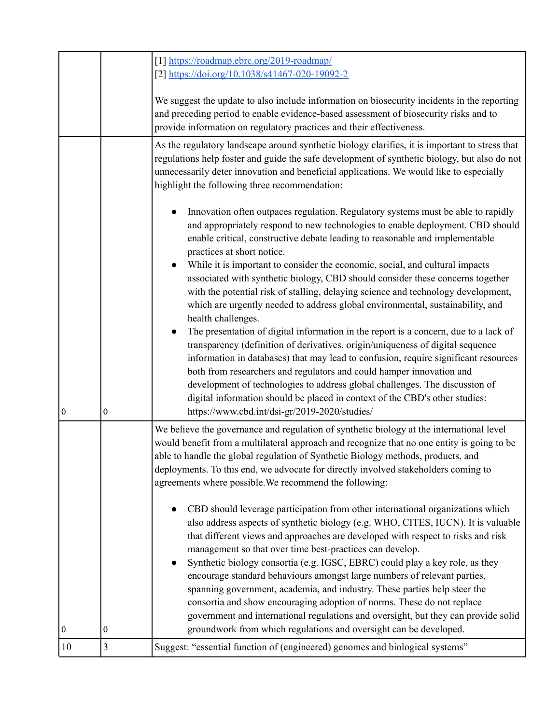|                  |   | [1] https://roadmap.ebrc.org/2019-roadmap/<br>[2] https://doi.org/10.1038/s41467-020-19092-2<br>We suggest the update to also include information on biosecurity incidents in the reporting                                                                                                                                                                                                                                                                                                                                                                                                                                                                                                                                               |
|------------------|---|-------------------------------------------------------------------------------------------------------------------------------------------------------------------------------------------------------------------------------------------------------------------------------------------------------------------------------------------------------------------------------------------------------------------------------------------------------------------------------------------------------------------------------------------------------------------------------------------------------------------------------------------------------------------------------------------------------------------------------------------|
|                  |   | and preceding period to enable evidence-based assessment of biosecurity risks and to<br>provide information on regulatory practices and their effectiveness.                                                                                                                                                                                                                                                                                                                                                                                                                                                                                                                                                                              |
|                  |   | As the regulatory landscape around synthetic biology clarifies, it is important to stress that<br>regulations help foster and guide the safe development of synthetic biology, but also do not<br>unnecessarily deter innovation and beneficial applications. We would like to especially<br>highlight the following three recommendation:                                                                                                                                                                                                                                                                                                                                                                                                |
|                  |   | Innovation often outpaces regulation. Regulatory systems must be able to rapidly<br>and appropriately respond to new technologies to enable deployment. CBD should<br>enable critical, constructive debate leading to reasonable and implementable<br>practices at short notice.                                                                                                                                                                                                                                                                                                                                                                                                                                                          |
|                  |   | While it is important to consider the economic, social, and cultural impacts<br>associated with synthetic biology, CBD should consider these concerns together<br>with the potential risk of stalling, delaying science and technology development,<br>which are urgently needed to address global environmental, sustainability, and<br>health challenges.                                                                                                                                                                                                                                                                                                                                                                               |
|                  |   | The presentation of digital information in the report is a concern, due to a lack of<br>$\bullet$<br>transparency (definition of derivatives, origin/uniqueness of digital sequence<br>information in databases) that may lead to confusion, require significant resources<br>both from researchers and regulators and could hamper innovation and<br>development of technologies to address global challenges. The discussion of<br>digital information should be placed in context of the CBD's other studies:                                                                                                                                                                                                                          |
| $\boldsymbol{0}$ | 0 | https://www.cbd.int/dsi-gr/2019-2020/studies/                                                                                                                                                                                                                                                                                                                                                                                                                                                                                                                                                                                                                                                                                             |
|                  |   | We believe the governance and regulation of synthetic biology at the international level<br>would benefit from a multilateral approach and recognize that no one entity is going to be<br>able to handle the global regulation of Synthetic Biology methods, products, and<br>deployments. To this end, we advocate for directly involved stakeholders coming to<br>agreements where possible. We recommend the following:                                                                                                                                                                                                                                                                                                                |
|                  |   | CBD should leverage participation from other international organizations which<br>also address aspects of synthetic biology (e.g. WHO, CITES, IUCN). It is valuable<br>that different views and approaches are developed with respect to risks and risk<br>management so that over time best-practices can develop.<br>Synthetic biology consortia (e.g. IGSC, EBRC) could play a key role, as they<br>$\bullet$<br>encourage standard behaviours amongst large numbers of relevant parties,<br>spanning government, academia, and industry. These parties help steer the<br>consortia and show encouraging adoption of norms. These do not replace<br>government and international regulations and oversight, but they can provide solid |
| $\boldsymbol{0}$ | 0 | groundwork from which regulations and oversight can be developed.                                                                                                                                                                                                                                                                                                                                                                                                                                                                                                                                                                                                                                                                         |
| 10               | 3 | Suggest: "essential function of (engineered) genomes and biological systems"                                                                                                                                                                                                                                                                                                                                                                                                                                                                                                                                                                                                                                                              |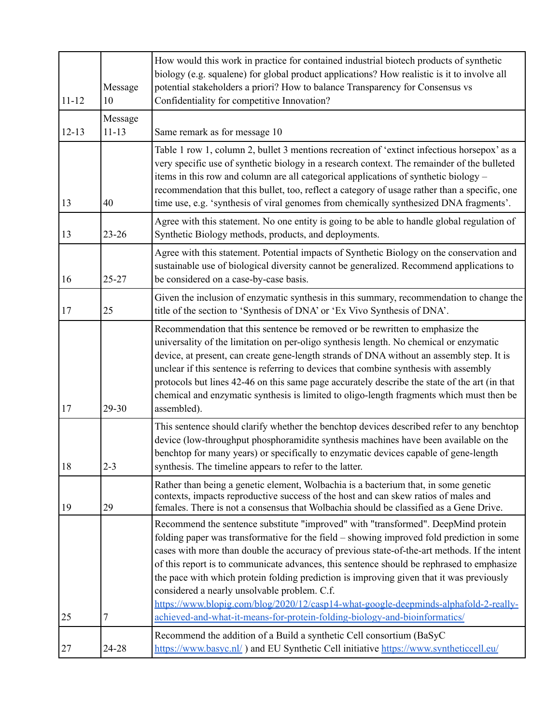| $11 - 12$ | Message<br>10        | How would this work in practice for contained industrial biotech products of synthetic<br>biology (e.g. squalene) for global product applications? How realistic is it to involve all<br>potential stakeholders a priori? How to balance Transparency for Consensus vs<br>Confidentiality for competitive Innovation?                                                                                                                                                                                                                                                                                                                                                                         |
|-----------|----------------------|-----------------------------------------------------------------------------------------------------------------------------------------------------------------------------------------------------------------------------------------------------------------------------------------------------------------------------------------------------------------------------------------------------------------------------------------------------------------------------------------------------------------------------------------------------------------------------------------------------------------------------------------------------------------------------------------------|
| $12 - 13$ | Message<br>$11 - 13$ | Same remark as for message 10                                                                                                                                                                                                                                                                                                                                                                                                                                                                                                                                                                                                                                                                 |
| 13        | 40                   | Table 1 row 1, column 2, bullet 3 mentions recreation of 'extinct infectious horsepox' as a<br>very specific use of synthetic biology in a research context. The remainder of the bulleted<br>items in this row and column are all categorical applications of synthetic biology -<br>recommendation that this bullet, too, reflect a category of usage rather than a specific, one<br>time use, e.g. 'synthesis of viral genomes from chemically synthesized DNA fragments'.                                                                                                                                                                                                                 |
| 13        | $23 - 26$            | Agree with this statement. No one entity is going to be able to handle global regulation of<br>Synthetic Biology methods, products, and deployments.                                                                                                                                                                                                                                                                                                                                                                                                                                                                                                                                          |
| 16        | 25-27                | Agree with this statement. Potential impacts of Synthetic Biology on the conservation and<br>sustainable use of biological diversity cannot be generalized. Recommend applications to<br>be considered on a case-by-case basis.                                                                                                                                                                                                                                                                                                                                                                                                                                                               |
| 17        | 25                   | Given the inclusion of enzymatic synthesis in this summary, recommendation to change the<br>title of the section to 'Synthesis of DNA' or 'Ex Vivo Synthesis of DNA'.                                                                                                                                                                                                                                                                                                                                                                                                                                                                                                                         |
| 17        | 29-30                | Recommendation that this sentence be removed or be rewritten to emphasize the<br>universality of the limitation on per-oligo synthesis length. No chemical or enzymatic<br>device, at present, can create gene-length strands of DNA without an assembly step. It is<br>unclear if this sentence is referring to devices that combine synthesis with assembly<br>protocols but lines 42-46 on this same page accurately describe the state of the art (in that<br>chemical and enzymatic synthesis is limited to oligo-length fragments which must then be<br>assembled).                                                                                                                     |
| 18        | $2 - 3$              | This sentence should clarify whether the benchtop devices described refer to any benchtop<br>device (low-throughput phosphoramidite synthesis machines have been available on the<br>benchtop for many years) or specifically to enzymatic devices capable of gene-length<br>synthesis. The timeline appears to refer to the latter.                                                                                                                                                                                                                                                                                                                                                          |
| 19        | 29                   | Rather than being a genetic element, Wolbachia is a bacterium that, in some genetic<br>contexts, impacts reproductive success of the host and can skew ratios of males and<br>females. There is not a consensus that Wolbachia should be classified as a Gene Drive.                                                                                                                                                                                                                                                                                                                                                                                                                          |
| 25        | 7                    | Recommend the sentence substitute "improved" with "transformed". DeepMind protein<br>folding paper was transformative for the field – showing improved fold prediction in some<br>cases with more than double the accuracy of previous state-of-the-art methods. If the intent<br>of this report is to communicate advances, this sentence should be rephrased to emphasize<br>the pace with which protein folding prediction is improving given that it was previously<br>considered a nearly unsolvable problem. C.f.<br>https://www.blopig.com/blog/2020/12/casp14-what-google-deepminds-alphafold-2-really-<br>achieved-and-what-it-means-for-protein-folding-biology-and-bioinformatics/ |
| 27        | 24-28                | Recommend the addition of a Build a synthetic Cell consortium (BaSyC<br>https://www.basyc.nl/) and EU Synthetic Cell initiative https://www.syntheticcell.eu/                                                                                                                                                                                                                                                                                                                                                                                                                                                                                                                                 |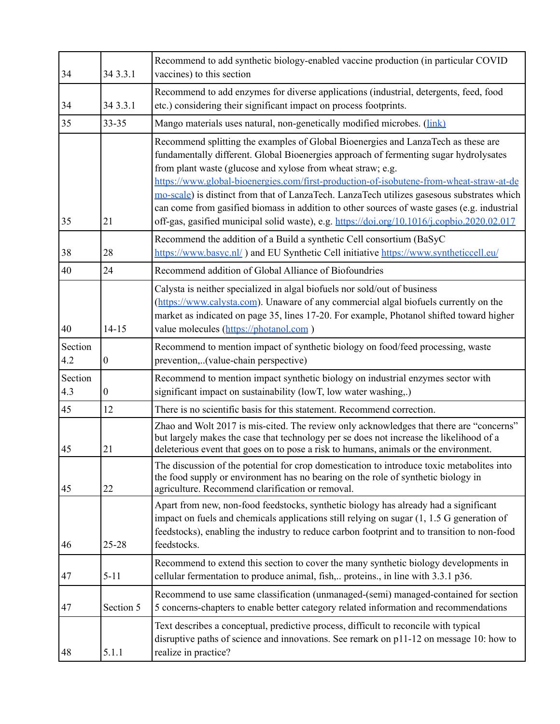| 34             | 34 3.3.1         | Recommend to add synthetic biology-enabled vaccine production (in particular COVID<br>vaccines) to this section                                                                                                                                                                                                                                                                                                                                                                                                                                                                                                                  |
|----------------|------------------|----------------------------------------------------------------------------------------------------------------------------------------------------------------------------------------------------------------------------------------------------------------------------------------------------------------------------------------------------------------------------------------------------------------------------------------------------------------------------------------------------------------------------------------------------------------------------------------------------------------------------------|
| 34             | 34 3.3.1         | Recommend to add enzymes for diverse applications (industrial, detergents, feed, food<br>etc.) considering their significant impact on process footprints.                                                                                                                                                                                                                                                                                                                                                                                                                                                                       |
| 35             | 33-35            | Mango materials uses natural, non-genetically modified microbes. (link)                                                                                                                                                                                                                                                                                                                                                                                                                                                                                                                                                          |
| 35             | 21               | Recommend splitting the examples of Global Bioenergies and LanzaTech as these are<br>fundamentally different. Global Bioenergies approach of fermenting sugar hydrolysates<br>from plant waste (glucose and xylose from wheat straw; e.g.<br>https://www.global-bioenergies.com/first-production-of-isobutene-from-wheat-straw-at-de<br>mo-scale) is distinct from that of LanzaTech. LanzaTech utilizes gasesous substrates which<br>can come from gasified biomass in addition to other sources of waste gases (e.g. industrial<br>off-gas, gasified municipal solid waste), e.g. https://doi.org/10.1016/j.copbio.2020.02.017 |
| 38             | 28               | Recommend the addition of a Build a synthetic Cell consortium (BaSyC<br>https://www.basyc.nl/) and EU Synthetic Cell initiative https://www.syntheticcell.eu/                                                                                                                                                                                                                                                                                                                                                                                                                                                                    |
| 40             | 24               | Recommend addition of Global Alliance of Biofoundries                                                                                                                                                                                                                                                                                                                                                                                                                                                                                                                                                                            |
| 40             | $14 - 15$        | Calysta is neither specialized in algal biofuels nor sold/out of business<br>(https://www.calysta.com). Unaware of any commercial algal biofuels currently on the<br>market as indicated on page 35, lines 17-20. For example, Photanol shifted toward higher<br>value molecules (https://photanol.com)                                                                                                                                                                                                                                                                                                                          |
| Section<br>4.2 | $\boldsymbol{0}$ | Recommend to mention impact of synthetic biology on food/feed processing, waste<br>prevention,(value-chain perspective)                                                                                                                                                                                                                                                                                                                                                                                                                                                                                                          |
| Section<br>4.3 | $\mathbf{0}$     | Recommend to mention impact synthetic biology on industrial enzymes sector with<br>significant impact on sustainability (lowT, low water washing,.)                                                                                                                                                                                                                                                                                                                                                                                                                                                                              |
| 45             | 12               | There is no scientific basis for this statement. Recommend correction.                                                                                                                                                                                                                                                                                                                                                                                                                                                                                                                                                           |
| 45             | 21               | Zhao and Wolt 2017 is mis-cited. The review only acknowledges that there are "concerns"<br>but largely makes the case that technology per se does not increase the likelihood of a<br>deleterious event that goes on to pose a risk to humans, animals or the environment.                                                                                                                                                                                                                                                                                                                                                       |
| 45             | 22               | The discussion of the potential for crop domestication to introduce toxic metabolites into<br>the food supply or environment has no bearing on the role of synthetic biology in<br>agriculture. Recommend clarification or removal.                                                                                                                                                                                                                                                                                                                                                                                              |
| 46             | 25-28            | Apart from new, non-food feedstocks, synthetic biology has already had a significant<br>impact on fuels and chemicals applications still relying on sugar (1, 1.5 G generation of<br>feedstocks), enabling the industry to reduce carbon footprint and to transition to non-food<br>feedstocks.                                                                                                                                                                                                                                                                                                                                  |
| 47             | $5 - 11$         | Recommend to extend this section to cover the many synthetic biology developments in<br>cellular fermentation to produce animal, fish, proteins., in line with 3.3.1 p36.                                                                                                                                                                                                                                                                                                                                                                                                                                                        |
| 47             | Section 5        | Recommend to use same classification (unmanaged-(semi) managed-contained for section<br>5 concerns-chapters to enable better category related information and recommendations                                                                                                                                                                                                                                                                                                                                                                                                                                                    |
| 48             | 5.1.1            | Text describes a conceptual, predictive process, difficult to reconcile with typical<br>disruptive paths of science and innovations. See remark on p11-12 on message 10: how to<br>realize in practice?                                                                                                                                                                                                                                                                                                                                                                                                                          |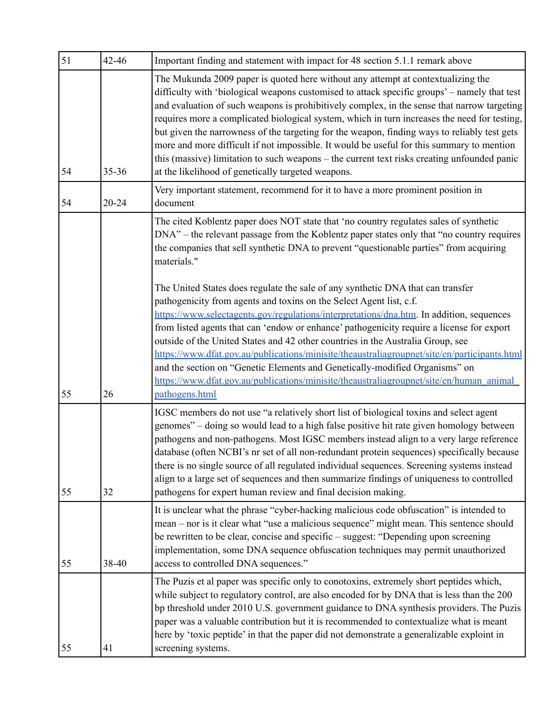| 51 | 42-46     | Important finding and statement with impact for 48 section 5.1.1 remark above                                                                                                                                                                                                                                                                                                                                                                                                                                                                                                                                                                                                                                                     |
|----|-----------|-----------------------------------------------------------------------------------------------------------------------------------------------------------------------------------------------------------------------------------------------------------------------------------------------------------------------------------------------------------------------------------------------------------------------------------------------------------------------------------------------------------------------------------------------------------------------------------------------------------------------------------------------------------------------------------------------------------------------------------|
| 54 | $35 - 36$ | The Mukunda 2009 paper is quoted here without any attempt at contextualizing the<br>difficulty with 'biological weapons customised to attack specific groups' – namely that test<br>and evaluation of such weapons is prohibitively complex, in the sense that narrow targeting<br>requires more a complicated biological system, which in turn increases the need for testing,<br>but given the narrowness of the targeting for the weapon, finding ways to reliably test gets<br>more and more difficult if not impossible. It would be useful for this summary to mention<br>this (massive) limitation to such weapons – the current text risks creating unfounded panic<br>at the likelihood of genetically targeted weapons. |
| 54 | $20 - 24$ | Very important statement, recommend for it to have a more prominent position in<br>document                                                                                                                                                                                                                                                                                                                                                                                                                                                                                                                                                                                                                                       |
|    |           | The cited Koblentz paper does NOT state that 'no country regulates sales of synthetic<br>DNA" – the relevant passage from the Koblentz paper states only that "no country requires"<br>the companies that sell synthetic DNA to prevent "questionable parties" from acquiring<br>materials."                                                                                                                                                                                                                                                                                                                                                                                                                                      |
| 55 | 26        | The United States does regulate the sale of any synthetic DNA that can transfer<br>pathogenicity from agents and toxins on the Select Agent list, c.f.<br>https://www.selectagents.gov/regulations/interpretations/dna.htm. In addition, sequences<br>from listed agents that can 'endow or enhance' pathogenicity require a license for export<br>outside of the United States and 42 other countries in the Australia Group, see<br>https://www.dfat.gov.au/publications/minisite/theaustraliagroupnet/site/en/participants.html<br>and the section on "Genetic Elements and Genetically-modified Organisms" on<br>https://www.dfat.gov.au/publications/minisite/theaustraliagroupnet/site/en/human animal<br>pathogens.html    |
| 55 | 32        | IGSC members do not use "a relatively short list of biological toxins and select agent<br>genomes" – doing so would lead to a high false positive hit rate given homology between<br>pathogens and non-pathogens. Most IGSC members instead align to a very large reference<br>database (often NCBI's nr set of all non-redundant protein sequences) specifically because<br>there is no single source of all regulated individual sequences. Screening systems instead<br>align to a large set of sequences and then summarize findings of uniqueness to controlled<br>pathogens for expert human review and final decision making.                                                                                              |
| 55 | 38-40     | It is unclear what the phrase "cyber-hacking malicious code obfuscation" is intended to<br>mean – nor is it clear what "use a malicious sequence" might mean. This sentence should<br>be rewritten to be clear, concise and specific – suggest: "Depending upon screening<br>implementation, some DNA sequence obfuscation techniques may permit unauthorized<br>access to controlled DNA sequences."                                                                                                                                                                                                                                                                                                                             |
| 55 | 41        | The Puzis et al paper was specific only to conotoxins, extremely short peptides which,<br>while subject to regulatory control, are also encoded for by DNA that is less than the 200<br>bp threshold under 2010 U.S. government guidance to DNA synthesis providers. The Puzis<br>paper was a valuable contribution but it is recommended to contextualize what is meant<br>here by 'toxic peptide' in that the paper did not demonstrate a generalizable exploint in<br>screening systems.                                                                                                                                                                                                                                       |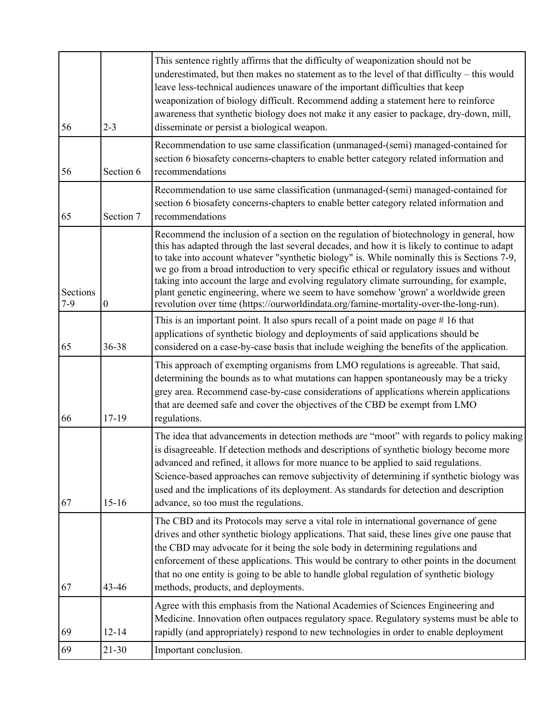| 56                | $2 - 3$          | This sentence rightly affirms that the difficulty of weaponization should not be<br>underestimated, but then makes no statement as to the level of that difficulty – this would<br>leave less-technical audiences unaware of the important difficulties that keep<br>weaponization of biology difficult. Recommend adding a statement here to reinforce<br>awareness that synthetic biology does not make it any easier to package, dry-down, mill,<br>disseminate or persist a biological weapon.                                                                                                                                                            |
|-------------------|------------------|---------------------------------------------------------------------------------------------------------------------------------------------------------------------------------------------------------------------------------------------------------------------------------------------------------------------------------------------------------------------------------------------------------------------------------------------------------------------------------------------------------------------------------------------------------------------------------------------------------------------------------------------------------------|
| 56                | Section 6        | Recommendation to use same classification (unmanaged-(semi) managed-contained for<br>section 6 biosafety concerns-chapters to enable better category related information and<br>recommendations                                                                                                                                                                                                                                                                                                                                                                                                                                                               |
| 65                | Section 7        | Recommendation to use same classification (unmanaged-(semi) managed-contained for<br>section 6 biosafety concerns-chapters to enable better category related information and<br>recommendations                                                                                                                                                                                                                                                                                                                                                                                                                                                               |
| Sections<br>$7-9$ | $\boldsymbol{0}$ | Recommend the inclusion of a section on the regulation of biotechnology in general, how<br>this has adapted through the last several decades, and how it is likely to continue to adapt<br>to take into account whatever "synthetic biology" is. While nominally this is Sections 7-9,<br>we go from a broad introduction to very specific ethical or regulatory issues and without<br>taking into account the large and evolving regulatory climate surrounding, for example,<br>plant genetic engineering, where we seem to have somehow 'grown' a worldwide green<br>revolution over time (https://ourworldindata.org/famine-mortality-over-the-long-run). |
| 65                | 36-38            | This is an important point. It also spurs recall of a point made on page $# 16$ that<br>applications of synthetic biology and deployments of said applications should be<br>considered on a case-by-case basis that include weighing the benefits of the application.                                                                                                                                                                                                                                                                                                                                                                                         |
| 66                | $17-19$          | This approach of exempting organisms from LMO regulations is agreeable. That said,<br>determining the bounds as to what mutations can happen spontaneously may be a tricky<br>grey area. Recommend case-by-case considerations of applications wherein applications<br>that are deemed safe and cover the objectives of the CBD be exempt from LMO<br>regulations.                                                                                                                                                                                                                                                                                            |
| 67                | $15-16$          | The idea that advancements in detection methods are "moot" with regards to policy making<br>is disagreeable. If detection methods and descriptions of synthetic biology become more<br>advanced and refined, it allows for more nuance to be applied to said regulations.<br>Science-based approaches can remove subjectivity of determining if synthetic biology was<br>used and the implications of its deployment. As standards for detection and description<br>advance, so too must the regulations.                                                                                                                                                     |
| 67                | $43 - 46$        | The CBD and its Protocols may serve a vital role in international governance of gene<br>drives and other synthetic biology applications. That said, these lines give one pause that<br>the CBD may advocate for it being the sole body in determining regulations and<br>enforcement of these applications. This would be contrary to other points in the document<br>that no one entity is going to be able to handle global regulation of synthetic biology<br>methods, products, and deployments.                                                                                                                                                          |
| 69                | $12 - 14$        | Agree with this emphasis from the National Academies of Sciences Engineering and<br>Medicine. Innovation often outpaces regulatory space. Regulatory systems must be able to<br>rapidly (and appropriately) respond to new technologies in order to enable deployment                                                                                                                                                                                                                                                                                                                                                                                         |
| 69                | $21 - 30$        | Important conclusion.                                                                                                                                                                                                                                                                                                                                                                                                                                                                                                                                                                                                                                         |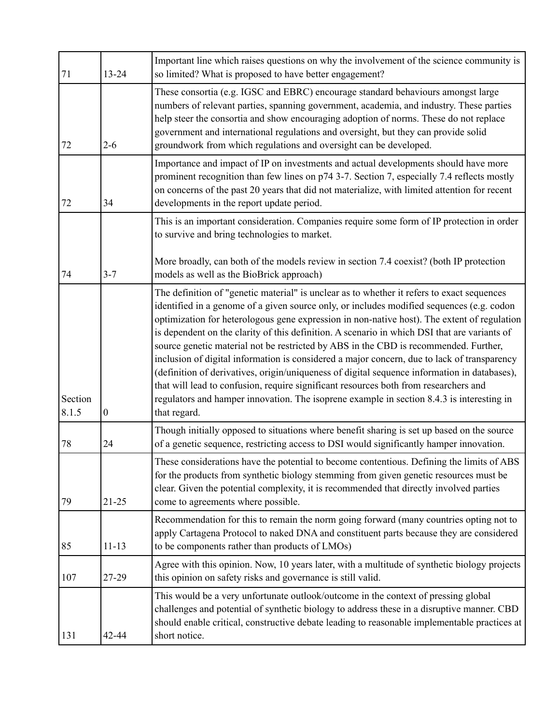| 71               | 13-24            | Important line which raises questions on why the involvement of the science community is<br>so limited? What is proposed to have better engagement?                                                                                                                                                                                                                                                                                                                                                                                                                                                                                                                                                                                                                                                                                                                                |
|------------------|------------------|------------------------------------------------------------------------------------------------------------------------------------------------------------------------------------------------------------------------------------------------------------------------------------------------------------------------------------------------------------------------------------------------------------------------------------------------------------------------------------------------------------------------------------------------------------------------------------------------------------------------------------------------------------------------------------------------------------------------------------------------------------------------------------------------------------------------------------------------------------------------------------|
| 72               | $2 - 6$          | These consortia (e.g. IGSC and EBRC) encourage standard behaviours amongst large<br>numbers of relevant parties, spanning government, academia, and industry. These parties<br>help steer the consortia and show encouraging adoption of norms. These do not replace<br>government and international regulations and oversight, but they can provide solid<br>groundwork from which regulations and oversight can be developed.                                                                                                                                                                                                                                                                                                                                                                                                                                                    |
| 72               | 34               | Importance and impact of IP on investments and actual developments should have more<br>prominent recognition than few lines on p74 3-7. Section 7, especially 7.4 reflects mostly<br>on concerns of the past 20 years that did not materialize, with limited attention for recent<br>developments in the report update period.                                                                                                                                                                                                                                                                                                                                                                                                                                                                                                                                                     |
|                  |                  | This is an important consideration. Companies require some form of IP protection in order<br>to survive and bring technologies to market.                                                                                                                                                                                                                                                                                                                                                                                                                                                                                                                                                                                                                                                                                                                                          |
| 74               | $3 - 7$          | More broadly, can both of the models review in section 7.4 coexist? (both IP protection<br>models as well as the BioBrick approach)                                                                                                                                                                                                                                                                                                                                                                                                                                                                                                                                                                                                                                                                                                                                                |
| Section<br>8.1.5 | $\boldsymbol{0}$ | The definition of "genetic material" is unclear as to whether it refers to exact sequences<br>identified in a genome of a given source only, or includes modified sequences (e.g. codon<br>optimization for heterologous gene expression in non-native host). The extent of regulation<br>is dependent on the clarity of this definition. A scenario in which DSI that are variants of<br>source genetic material not be restricted by ABS in the CBD is recommended. Further,<br>inclusion of digital information is considered a major concern, due to lack of transparency<br>(definition of derivatives, origin/uniqueness of digital sequence information in databases),<br>that will lead to confusion, require significant resources both from researchers and<br>regulators and hamper innovation. The isoprene example in section 8.4.3 is interesting in<br>that regard. |
| 78               | 24               | Though initially opposed to situations where benefit sharing is set up based on the source<br>of a genetic sequence, restricting access to DSI would significantly hamper innovation.                                                                                                                                                                                                                                                                                                                                                                                                                                                                                                                                                                                                                                                                                              |
| 79               | $21 - 25$        | These considerations have the potential to become contentious. Defining the limits of ABS<br>for the products from synthetic biology stemming from given genetic resources must be<br>clear. Given the potential complexity, it is recommended that directly involved parties<br>come to agreements where possible.                                                                                                                                                                                                                                                                                                                                                                                                                                                                                                                                                                |
| 85               | $11 - 13$        | Recommendation for this to remain the norm going forward (many countries opting not to<br>apply Cartagena Protocol to naked DNA and constituent parts because they are considered<br>to be components rather than products of LMOs)                                                                                                                                                                                                                                                                                                                                                                                                                                                                                                                                                                                                                                                |
| 107              | 27-29            | Agree with this opinion. Now, 10 years later, with a multitude of synthetic biology projects<br>this opinion on safety risks and governance is still valid.                                                                                                                                                                                                                                                                                                                                                                                                                                                                                                                                                                                                                                                                                                                        |
| 131              | 42-44            | This would be a very unfortunate outlook/outcome in the context of pressing global<br>challenges and potential of synthetic biology to address these in a disruptive manner. CBD<br>should enable critical, constructive debate leading to reasonable implementable practices at<br>short notice.                                                                                                                                                                                                                                                                                                                                                                                                                                                                                                                                                                                  |